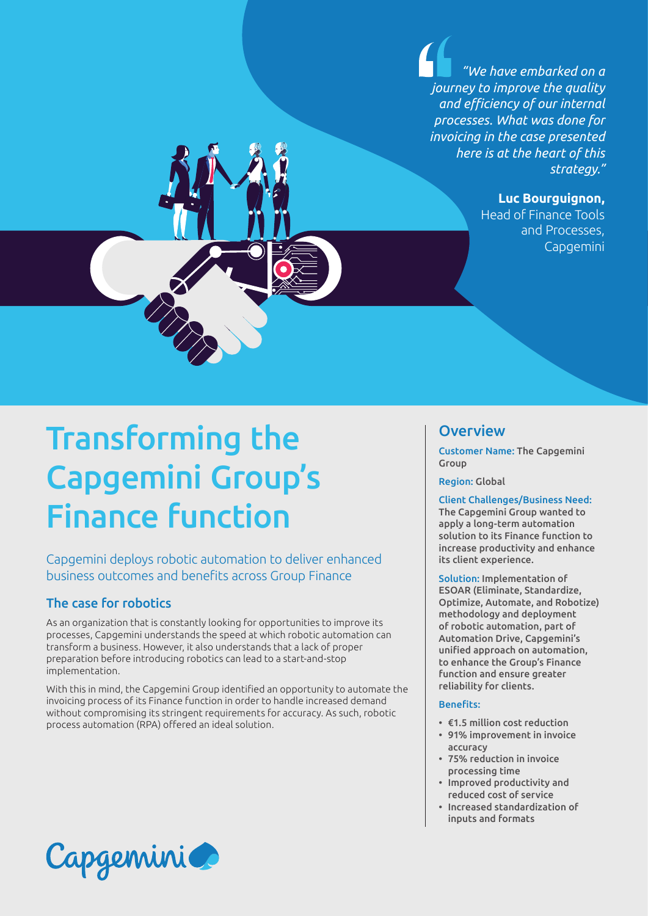*"We have embarked on a journey to improve the quality and efficiency of our internal processes. What was done for invoicing in the case presented here is at the heart of this strategy."*

**Luc Bourguignon,**

Head of Finance Tools and Processes, Capgemini

# Transforming the Capgemini Group's Finance function

Capgemini deploys robotic automation to deliver enhanced business outcomes and benefits across Group Finance

## The case for robotics

As an organization that is constantly looking for opportunities to improve its processes, Capgemini understands the speed at which robotic automation can transform a business. However, it also understands that a lack of proper preparation before introducing robotics can lead to a start-and-stop implementation.

With this in mind, the Capgemini Group identified an opportunity to automate the invoicing process of its Finance function in order to handle increased demand without compromising its stringent requirements for accuracy. As such, robotic process automation (RPA) offered an ideal solution.

# Capgemini

# **Overview**

Customer Name: The Capgemini Group

Region: Global

Client Challenges/Business Need:

The Capgemini Group wanted to apply a long-term automation solution to its Finance function to increase productivity and enhance its client experience.

Solution: Implementation of ESOAR (Eliminate, Standardize, Optimize, Automate, and Robotize) methodology and deployment of robotic automation, part of Automation Drive, Capgemini's unified approach on automation, to enhance the Group's Finance function and ensure greater reliability for clients.

#### Benefits:

- €1.5 million cost reduction
- 91% improvement in invoice accuracy
- 75% reduction in invoice processing time
- Improved productivity and reduced cost of service
- Increased standardization of inputs and formats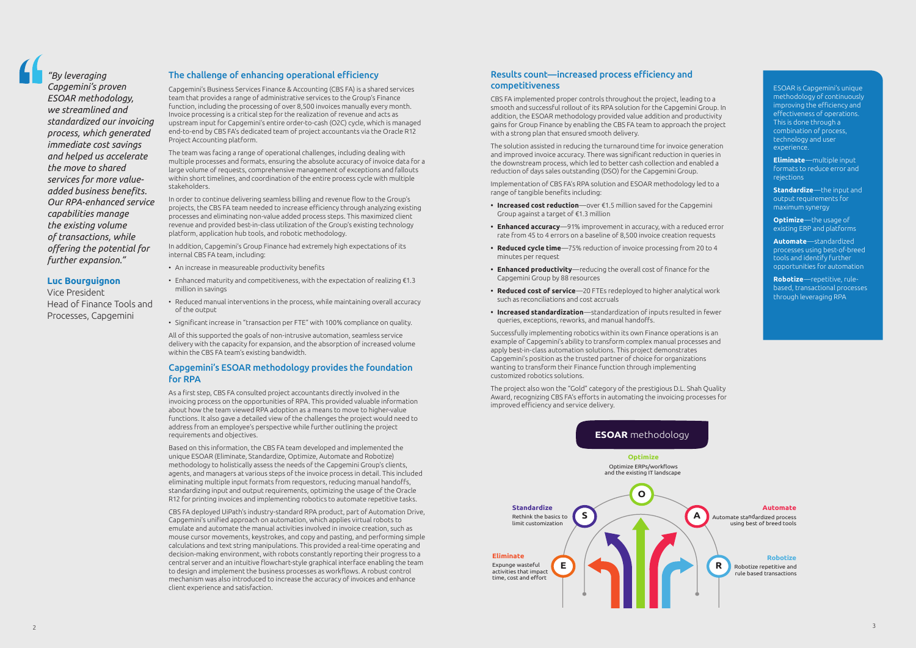### The challenge of enhancing operational efficiency

Capgemini's Business Services Finance & Accounting (CBS FA) is a shared services team that provides a range of administrative services to the Group's Finance function, including the processing of over 8,500 invoices manually every month. Invoice processing is a critical step for the realization of revenue and acts as upstream input for Capgemini's entire order-to-cash (O2C) cycle, which is managed end-to-end by CBS FA's dedicated team of project accountants via the Oracle R12 Project Accounting platform.

The team was facing a range of operational challenges, including dealing with multiple processes and formats, ensuring the absolute accuracy of invoice data for a large volume of requests, comprehensive management of exceptions and fallouts within short timelines, and coordination of the entire process cycle with multiple stakeholders.

In order to continue delivering seamless billing and revenue flow to the Group's projects, the CBS FA team needed to increase efficiency through analyzing existing processes and eliminating non-value added process steps. This maximized client revenue and provided best-in-class utilization of the Group's existing technology platform, application hub tools, and robotic methodology.

In addition, Capgemini's Group Finance had extremely high expectations of its internal CBS FA team, including:

- An increase in measureable productivity benefits
- Enhanced maturity and competitiveness, with the expectation of realizing €1.3 million in savings
- Reduced manual interventions in the process, while maintaining overall accuracy of the output
- Significant increase in "transaction per FTE" with 100% compliance on quality.

All of this supported the goals of non-intrusive automation, seamless service delivery with the capacity for expansion, and the absorption of increased volume within the CBS FA team's existing bandwidth.

#### Capgemini's ESOAR methodology provides the foundation for RPA

As a first step, CBS FA consulted project accountants directly involved in the invoicing process on the opportunities of RPA. This provided valuable information about how the team viewed RPA adoption as a means to move to higher-value functions. It also gave a detailed view of the challenges the project would need to address from an employee's perspective while further outlining the project requirements and objectives.

Based on this information, the CBS FA team developed and implemented the unique ESOAR (Eliminate, Standardize, Optimize, Automate and Robotize) methodology to holistically assess the needs of the Capgemini Group's clients, agents, and managers at various steps of the invoice process in detail. This included eliminating multiple input formats from requestors, reducing manual handoffs, standardizing input and output requirements, optimizing the usage of the Oracle R12 for printing invoices and implementing robotics to automate repetitive tasks.

CBS FA deployed UiPath's industry-standard RPA product, part of Automation Drive, Capgemini's unified approach on automation, which applies virtual robots to emulate and automate the manual activities involved in invoice creation, such as mouse cursor movements, keystrokes, and copy and pasting, and performing simple calculations and text string manipulations. This provided a real-time operating and decision-making environment, with robots constantly reporting their progress to a central server and an intuitive flowchart-style graphical interface enabling the team to design and implement the business processes as workflows. A robust control mechanism was also introduced to increase the accuracy of invoices and enhance client experience and satisfaction.

ESOAR is Capgemini's unique methodology of continuously

improving the efficiency and effectiveness of operations. This is done through a combination of process, technology and user experience.

**Eliminate**—multiple input formats to reduce error and rejections

**Standardize**—the input and output requirements for maximum synergy

**Optimize**—the usage of existing ERP and platforms

**Automate**—standardized processes using best-of-breed tools and identify further opportunities for automation

**Robotize**—repetitive, rulebased, transactional processes through leveraging RPA



*"By leveraging Capgemini's proven ESOAR methodology, we streamlined and standardized our invoicing process, which generated immediate cost savings and helped us accelerate the move to shared services for more valueadded business benefits. Our RPA-enhanced service capabilities manage the existing volume of transactions, while offering the potential for further expansion."*

#### **Luc Bourguignon**

Vice President Head of Finance Tools and Processes, Capgemini

## Results count—increased process efficiency and competitiveness

CBS FA implemented proper controls throughout the project, leading to a smooth and successful rollout of its RPA solution for the Capgemini Group. In addition, the ESOAR methodology provided value addition and productivity gains for Group Finance by enabling the CBS FA team to approach the project with a strong plan that ensured smooth delivery.

The solution assisted in reducing the turnaround time for invoice generation and improved invoice accuracy. There was significant reduction in queries in the downstream process, which led to better cash collection and enabled a reduction of days sales outstanding (DSO) for the Capgemini Group.

Implementation of CBS FA's RPA solution and ESOAR methodology led to a range of tangible benefits including:

- **• Increased cost reduction**—over €1.5 million saved for the Capgemini Group against a target of €1.3 million
- **• Enhanced accuracy**—91% improvement in accuracy, with a reduced error rate from 45 to 4 errors on a baseline of 8,500 invoice creation requests
- **• Reduced cycle time**—75% reduction of invoice processing from 20 to 4 minutes per request
- **• Enhanced productivity**—reducing the overall cost of finance for the Capgemini Group by 88 resources
- **• Reduced cost of service**—20 FTEs redeployed to higher analytical work such as reconciliations and cost accruals
- **• Increased standardization**—standardization of inputs resulted in fewer queries, exceptions, reworks, and manual handoffs.

Successfully implementing robotics within its own Finance operations is an example of Capgemini's ability to transform complex manual processes and apply best-in-class automation solutions. This project demonstrates Capgemini's position as the trusted partner of choice for organizations wanting to transform their Finance function through implementing customized robotics solutions.

The project also won the "Gold" category of the prestigious D.L. Shah Quality Award, recognizing CBS FA's efforts in automating the invoicing processes for improved efficiency and service delivery.

3

rule based transactions

#### **Robotize**



**Eliminate**

Automate standardized process using best of breed tools

#### **Automate**

**R**

## **ESOAR** methodology